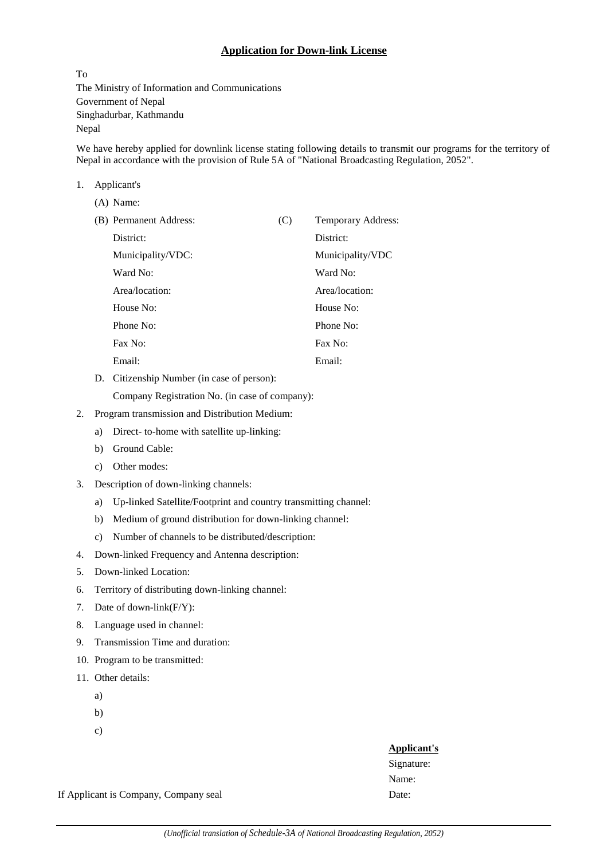## **Application for Down-link License**

To The Ministry of Information and Communications Government of Nepal Singhadurbar, Kathmandu Nepal

We have hereby applied for downlink license stating following details to transmit our programs for the territory of Nepal in accordance with the provision of Rule 5A of "National Broadcasting Regulation, 2052".

#### 1. Applicant's

| $(A)$ Name:            |     |                    |
|------------------------|-----|--------------------|
| (B) Permanent Address: | (C) | Temporary Address: |
| District:              |     | District:          |
| Municipality/VDC:      |     | Municipality/VDC   |
| Ward No:               |     | Ward No:           |
| Area/location:         |     | Area/location:     |
| House No:              |     | House No:          |
| Phone No:              |     | Phone No:          |
| Fax No:                |     | Fax No:            |
| Email:                 |     | Email:             |

D. Citizenship Number (in case of person):

Company Registration No. (in case of company):

- 2. Program transmission and Distribution Medium:
	- a) Direct- to-home with satellite up-linking:
	- b) Ground Cable:
	- c) Other modes:
- 3. Description of down-linking channels:
	- a) Up-linked Satellite/Footprint and country transmitting channel:
	- b) Medium of ground distribution for down-linking channel:
	- c) Number of channels to be distributed/description:
- 4. Down-linked Frequency and Antenna description:
- 5. Down-linked Location:
- 6. Territory of distributing down-linking channel:
- 7. Date of down-link(F/Y):
- 8. Language used in channel:
- 9. Transmission Time and duration:
- 10. Program to be transmitted:
- 11. Other details:
	- a)
	- b)
	- c)

### **Applicant's**

Signature: Name:

If Applicant is Company, Company seal Date: